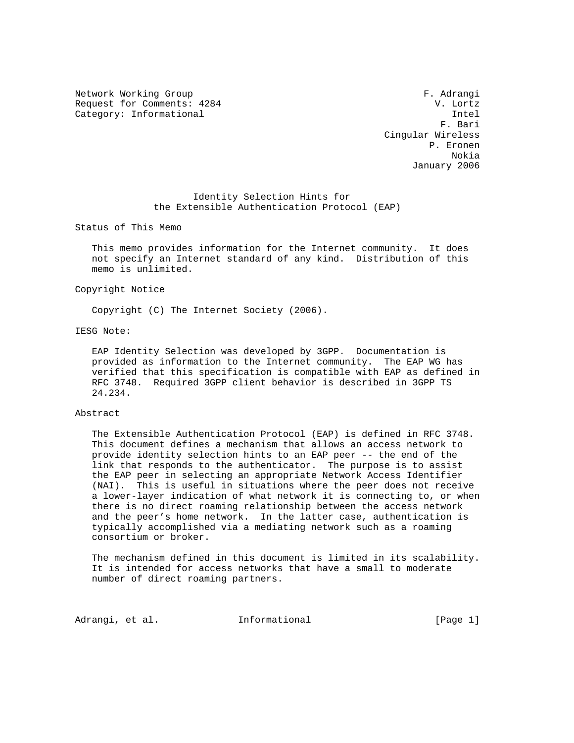Network Working Group **F. Adrangi** Request for Comments: 4284 V. Lortz

Category: Informational Intel Intel Intel Intel Intel Intel Intel Intel Intel Intel Intel Intel Intel Intel Intel Intel Intel Intel Intel Intel Intel Intel Intel Intel Intel Intel Intel Intel Intel Intel Intel Intel Intel F. Bari Cingular Wireless P. Eronen Nokia January 2006

## Identity Selection Hints for the Extensible Authentication Protocol (EAP)

Status of This Memo

 This memo provides information for the Internet community. It does not specify an Internet standard of any kind. Distribution of this memo is unlimited.

#### Copyright Notice

Copyright (C) The Internet Society (2006).

### IESG Note:

 EAP Identity Selection was developed by 3GPP. Documentation is provided as information to the Internet community. The EAP WG has verified that this specification is compatible with EAP as defined in RFC 3748. Required 3GPP client behavior is described in 3GPP TS 24.234.

### Abstract

 The Extensible Authentication Protocol (EAP) is defined in RFC 3748. This document defines a mechanism that allows an access network to provide identity selection hints to an EAP peer -- the end of the link that responds to the authenticator. The purpose is to assist the EAP peer in selecting an appropriate Network Access Identifier (NAI). This is useful in situations where the peer does not receive a lower-layer indication of what network it is connecting to, or when there is no direct roaming relationship between the access network and the peer's home network. In the latter case, authentication is typically accomplished via a mediating network such as a roaming consortium or broker.

 The mechanism defined in this document is limited in its scalability. It is intended for access networks that have a small to moderate number of direct roaming partners.

Adrangi, et al. 1nformational [Page 1]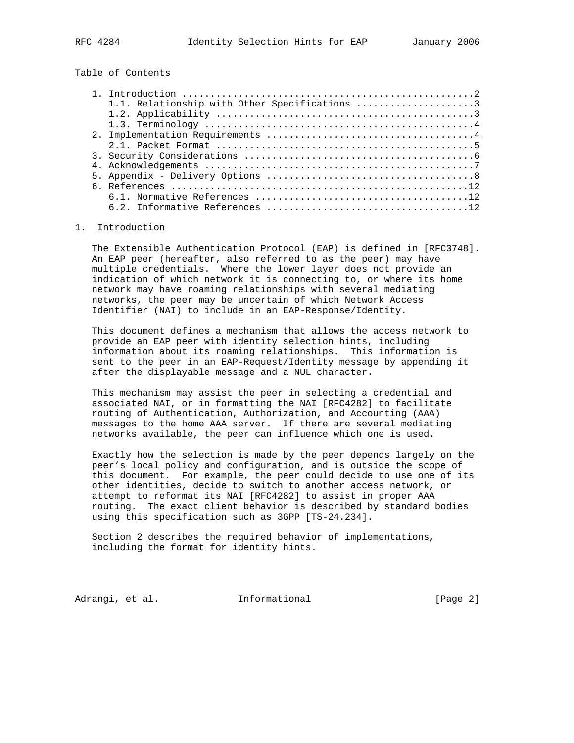Table of Contents

| 1.1. Relationship with Other Specifications 3 |
|-----------------------------------------------|
|                                               |
|                                               |
|                                               |
|                                               |
|                                               |
|                                               |
|                                               |
|                                               |
|                                               |
|                                               |

#### 1. Introduction

 The Extensible Authentication Protocol (EAP) is defined in [RFC3748]. An EAP peer (hereafter, also referred to as the peer) may have multiple credentials. Where the lower layer does not provide an indication of which network it is connecting to, or where its home network may have roaming relationships with several mediating networks, the peer may be uncertain of which Network Access Identifier (NAI) to include in an EAP-Response/Identity.

 This document defines a mechanism that allows the access network to provide an EAP peer with identity selection hints, including information about its roaming relationships. This information is sent to the peer in an EAP-Request/Identity message by appending it after the displayable message and a NUL character.

 This mechanism may assist the peer in selecting a credential and associated NAI, or in formatting the NAI [RFC4282] to facilitate routing of Authentication, Authorization, and Accounting (AAA) messages to the home AAA server. If there are several mediating networks available, the peer can influence which one is used.

 Exactly how the selection is made by the peer depends largely on the peer's local policy and configuration, and is outside the scope of this document. For example, the peer could decide to use one of its other identities, decide to switch to another access network, or attempt to reformat its NAI [RFC4282] to assist in proper AAA routing. The exact client behavior is described by standard bodies using this specification such as 3GPP [TS-24.234].

 Section 2 describes the required behavior of implementations, including the format for identity hints.

Adrangi, et al. **Informational** [Page 2]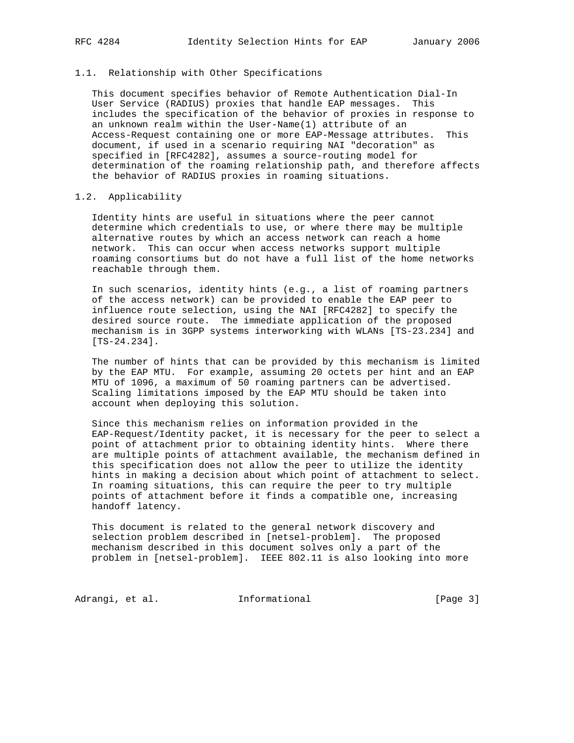#### 1.1. Relationship with Other Specifications

 This document specifies behavior of Remote Authentication Dial-In User Service (RADIUS) proxies that handle EAP messages. This includes the specification of the behavior of proxies in response to an unknown realm within the User-Name(1) attribute of an Access-Request containing one or more EAP-Message attributes. This document, if used in a scenario requiring NAI "decoration" as specified in [RFC4282], assumes a source-routing model for determination of the roaming relationship path, and therefore affects the behavior of RADIUS proxies in roaming situations.

### 1.2. Applicability

 Identity hints are useful in situations where the peer cannot determine which credentials to use, or where there may be multiple alternative routes by which an access network can reach a home network. This can occur when access networks support multiple roaming consortiums but do not have a full list of the home networks reachable through them.

 In such scenarios, identity hints (e.g., a list of roaming partners of the access network) can be provided to enable the EAP peer to influence route selection, using the NAI [RFC4282] to specify the desired source route. The immediate application of the proposed mechanism is in 3GPP systems interworking with WLANs [TS-23.234] and [TS-24.234].

 The number of hints that can be provided by this mechanism is limited by the EAP MTU. For example, assuming 20 octets per hint and an EAP MTU of 1096, a maximum of 50 roaming partners can be advertised. Scaling limitations imposed by the EAP MTU should be taken into account when deploying this solution.

 Since this mechanism relies on information provided in the EAP-Request/Identity packet, it is necessary for the peer to select a point of attachment prior to obtaining identity hints. Where there are multiple points of attachment available, the mechanism defined in this specification does not allow the peer to utilize the identity hints in making a decision about which point of attachment to select. In roaming situations, this can require the peer to try multiple points of attachment before it finds a compatible one, increasing handoff latency.

 This document is related to the general network discovery and selection problem described in [netsel-problem]. The proposed mechanism described in this document solves only a part of the problem in [netsel-problem]. IEEE 802.11 is also looking into more

Adrangi, et al. 10 Informational 10 10 [Page 3]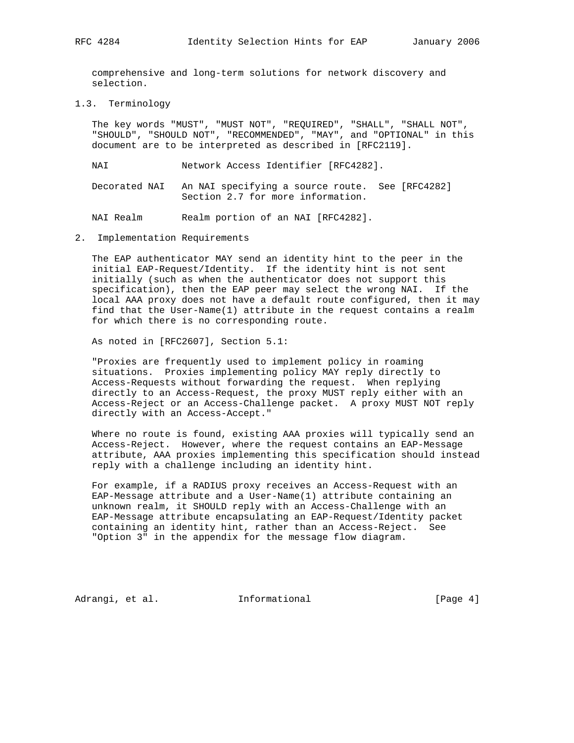comprehensive and long-term solutions for network discovery and selection.

1.3. Terminology

 The key words "MUST", "MUST NOT", "REQUIRED", "SHALL", "SHALL NOT", "SHOULD", "SHOULD NOT", "RECOMMENDED", "MAY", and "OPTIONAL" in this document are to be interpreted as described in [RFC2119].

NAI Network Access Identifier [RFC4282].

 Decorated NAI An NAI specifying a source route. See [RFC4282] Section 2.7 for more information.

NAI Realm Realm portion of an NAI [RFC4282].

2. Implementation Requirements

 The EAP authenticator MAY send an identity hint to the peer in the initial EAP-Request/Identity. If the identity hint is not sent initially (such as when the authenticator does not support this specification), then the EAP peer may select the wrong NAI. If the local AAA proxy does not have a default route configured, then it may find that the User-Name(1) attribute in the request contains a realm for which there is no corresponding route.

As noted in [RFC2607], Section 5.1:

 "Proxies are frequently used to implement policy in roaming situations. Proxies implementing policy MAY reply directly to Access-Requests without forwarding the request. When replying directly to an Access-Request, the proxy MUST reply either with an Access-Reject or an Access-Challenge packet. A proxy MUST NOT reply directly with an Access-Accept."

 Where no route is found, existing AAA proxies will typically send an Access-Reject. However, where the request contains an EAP-Message attribute, AAA proxies implementing this specification should instead reply with a challenge including an identity hint.

 For example, if a RADIUS proxy receives an Access-Request with an EAP-Message attribute and a User-Name(1) attribute containing an unknown realm, it SHOULD reply with an Access-Challenge with an EAP-Message attribute encapsulating an EAP-Request/Identity packet containing an identity hint, rather than an Access-Reject. See "Option 3" in the appendix for the message flow diagram.

Adrangi, et al. **Informational** [Page 4]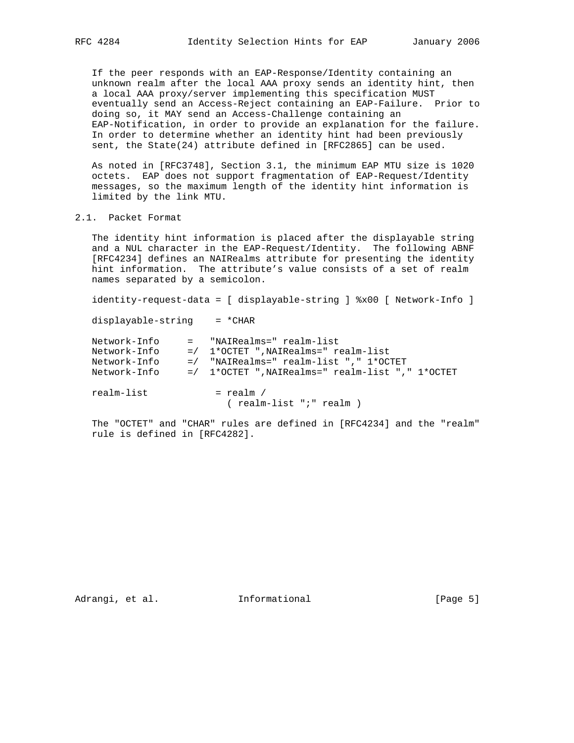If the peer responds with an EAP-Response/Identity containing an unknown realm after the local AAA proxy sends an identity hint, then a local AAA proxy/server implementing this specification MUST eventually send an Access-Reject containing an EAP-Failure. Prior to doing so, it MAY send an Access-Challenge containing an EAP-Notification, in order to provide an explanation for the failure. In order to determine whether an identity hint had been previously sent, the State(24) attribute defined in [RFC2865] can be used.

 As noted in [RFC3748], Section 3.1, the minimum EAP MTU size is 1020 octets. EAP does not support fragmentation of EAP-Request/Identity messages, so the maximum length of the identity hint information is limited by the link MTU.

# 2.1. Packet Format

 The identity hint information is placed after the displayable string and a NUL character in the EAP-Request/Identity. The following ABNF [RFC4234] defines an NAIRealms attribute for presenting the identity hint information. The attribute's value consists of a set of realm names separated by a semicolon.

identity-request-data = [ displayable-string ] %x00 [ Network-Info ]

displayable-string = \*CHAR

| Network-Info<br>Network-Info<br>Network-Info<br>Network-Info | = "NAIRealms=" realm-list<br>$=$ / 1*OCTET ", NAIRealms=" realm-list<br>$=$ / "NAIRealms=" realm-list "," $1*$ OCTET<br>$=$ / 1*OCTET ", NAIRealms=" realm-list ", " 1*OCTET |
|--------------------------------------------------------------|------------------------------------------------------------------------------------------------------------------------------------------------------------------------------|
| realm-list                                                   | $=$ realm /<br>( realm-list ";" realm )                                                                                                                                      |

 The "OCTET" and "CHAR" rules are defined in [RFC4234] and the "realm" rule is defined in [RFC4282].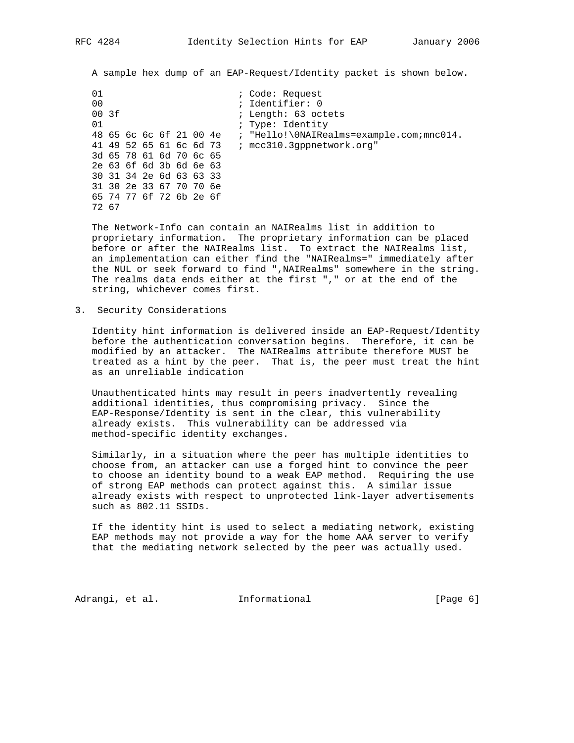A sample hex dump of an EAP-Request/Identity packet is shown below.

01 i Code: Request 00 ; Identifier: 0 ; Length: 63 octets 01 (a)  $\qquad$  ; Type: Identity 48 65 6c 6c 6f 21 00 4e ; "Hello!\0NAIRealms=example.com;mnc014. 41 49 52 65 61 6c 6d 73 ; mcc310.3gppnetwork.org" 3d 65 78 61 6d 70 6c 65 2e 63 6f 6d 3b 6d 6e 63 30 31 34 2e 6d 63 63 33 31 30 2e 33 67 70 70 6e 65 74 77 6f 72 6b 2e 6f 72 67

 The Network-Info can contain an NAIRealms list in addition to proprietary information. The proprietary information can be placed before or after the NAIRealms list. To extract the NAIRealms list, an implementation can either find the "NAIRealms=" immediately after the NUL or seek forward to find ",NAIRealms" somewhere in the string. The realms data ends either at the first "," or at the end of the string, whichever comes first.

3. Security Considerations

 Identity hint information is delivered inside an EAP-Request/Identity before the authentication conversation begins. Therefore, it can be modified by an attacker. The NAIRealms attribute therefore MUST be treated as a hint by the peer. That is, the peer must treat the hint as an unreliable indication

 Unauthenticated hints may result in peers inadvertently revealing additional identities, thus compromising privacy. Since the EAP-Response/Identity is sent in the clear, this vulnerability already exists. This vulnerability can be addressed via method-specific identity exchanges.

 Similarly, in a situation where the peer has multiple identities to choose from, an attacker can use a forged hint to convince the peer to choose an identity bound to a weak EAP method. Requiring the use of strong EAP methods can protect against this. A similar issue already exists with respect to unprotected link-layer advertisements such as 802.11 SSIDs.

 If the identity hint is used to select a mediating network, existing EAP methods may not provide a way for the home AAA server to verify that the mediating network selected by the peer was actually used.

Adrangi, et al. **Informational** [Page 6]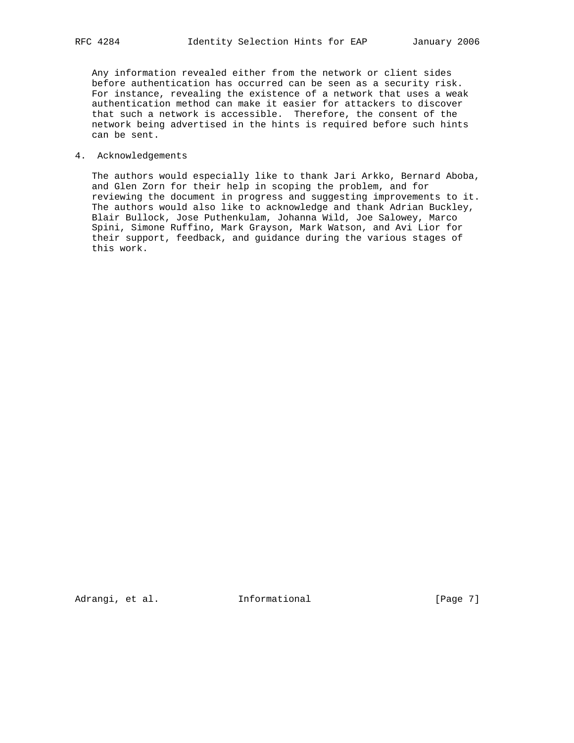Any information revealed either from the network or client sides before authentication has occurred can be seen as a security risk. For instance, revealing the existence of a network that uses a weak authentication method can make it easier for attackers to discover that such a network is accessible. Therefore, the consent of the network being advertised in the hints is required before such hints can be sent.

# 4. Acknowledgements

 The authors would especially like to thank Jari Arkko, Bernard Aboba, and Glen Zorn for their help in scoping the problem, and for reviewing the document in progress and suggesting improvements to it. The authors would also like to acknowledge and thank Adrian Buckley, Blair Bullock, Jose Puthenkulam, Johanna Wild, Joe Salowey, Marco Spini, Simone Ruffino, Mark Grayson, Mark Watson, and Avi Lior for their support, feedback, and guidance during the various stages of this work.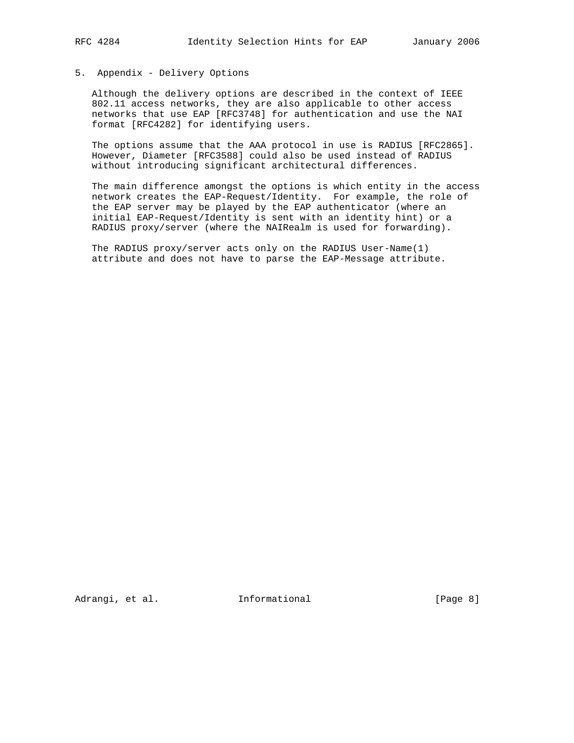# 5. Appendix - Delivery Options

 Although the delivery options are described in the context of IEEE 802.11 access networks, they are also applicable to other access networks that use EAP [RFC3748] for authentication and use the NAI format [RFC4282] for identifying users.

 The options assume that the AAA protocol in use is RADIUS [RFC2865]. However, Diameter [RFC3588] could also be used instead of RADIUS without introducing significant architectural differences.

 The main difference amongst the options is which entity in the access network creates the EAP-Request/Identity. For example, the role of the EAP server may be played by the EAP authenticator (where an initial EAP-Request/Identity is sent with an identity hint) or a RADIUS proxy/server (where the NAIRealm is used for forwarding).

 The RADIUS proxy/server acts only on the RADIUS User-Name(1) attribute and does not have to parse the EAP-Message attribute.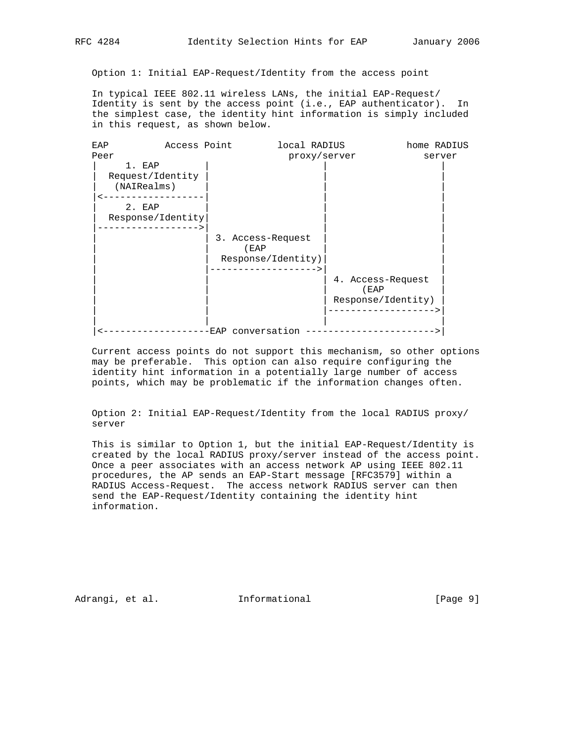Option 1: Initial EAP-Request/Identity from the access point

 In typical IEEE 802.11 wireless LANs, the initial EAP-Request/ Identity is sent by the access point (i.e., EAP authenticator). In the simplest case, the identity hint information is simply included in this request, as shown below.

| EAP                                       | Access Point | local RADIUS                                    |              | home RADIUS                             |  |
|-------------------------------------------|--------------|-------------------------------------------------|--------------|-----------------------------------------|--|
| Peer                                      |              |                                                 | proxy/server | server                                  |  |
| 1. EAP<br>Request/Identity<br>(NAIRealms) |              |                                                 |              |                                         |  |
| 2. EAP<br>Response/Identity               |              |                                                 |              |                                         |  |
|                                           |              | 3. Access-Request<br>(EAP<br>Response/Identity) |              |                                         |  |
|                                           |              |                                                 | (EAP         | 4. Access-Request<br>Response/Identity) |  |
|                                           |              | EAP conversation                                |              |                                         |  |

 Current access points do not support this mechanism, so other options may be preferable. This option can also require configuring the identity hint information in a potentially large number of access points, which may be problematic if the information changes often.

 Option 2: Initial EAP-Request/Identity from the local RADIUS proxy/ server

 This is similar to Option 1, but the initial EAP-Request/Identity is created by the local RADIUS proxy/server instead of the access point. Once a peer associates with an access network AP using IEEE 802.11 procedures, the AP sends an EAP-Start message [RFC3579] within a RADIUS Access-Request. The access network RADIUS server can then send the EAP-Request/Identity containing the identity hint information.

Adrangi, et al. Informational [Page 9]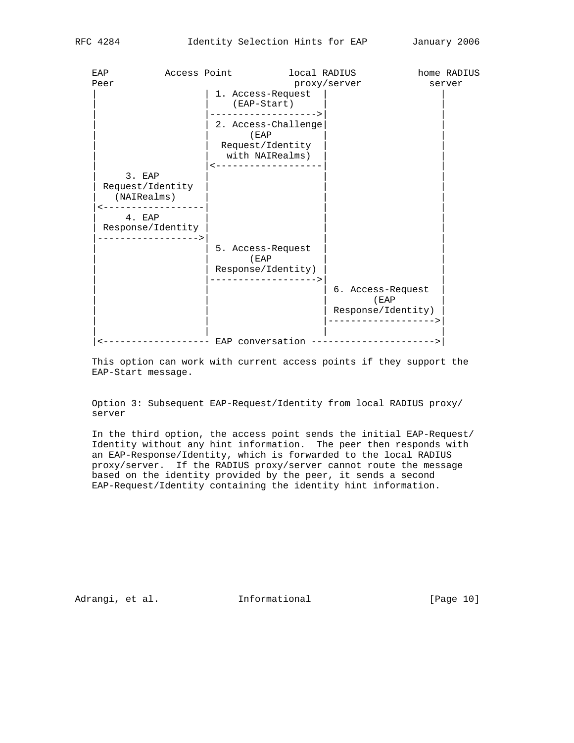| EAP                                                            | Access Point |                                                                                          | local RADIUS |                                                                          | home RADIUS |
|----------------------------------------------------------------|--------------|------------------------------------------------------------------------------------------|--------------|--------------------------------------------------------------------------|-------------|
| Peer                                                           |              |                                                                                          | proxy/server |                                                                          | server      |
|                                                                |              | 1. Access-Request<br>$(ED-Start)$                                                        |              |                                                                          |             |
|                                                                |              | -----------------><br>2. Access-Challenge<br>(EAP<br>Request/Identity<br>with NAIRealms) |              |                                                                          |             |
|                                                                |              | -------------------                                                                      |              |                                                                          |             |
| 3. EAP<br>Request/Identity<br>(NAIRealms)<br>_________________ |              |                                                                                          |              |                                                                          |             |
| 4. EAP<br>Response/Identity<br>-----------------               |              |                                                                                          |              |                                                                          |             |
|                                                                |              | 5. Access-Request<br>( EAP)                                                              |              |                                                                          |             |
|                                                                |              | Response/Identity)                                                                       |              |                                                                          |             |
|                                                                |              | ------------------>                                                                      |              | 6. Access-Request<br>(EAP<br>Response/Identity)<br>--------------------> |             |
|                                                                |              |                                                                                          |              | EAP conversation ----------------------->                                |             |

 This option can work with current access points if they support the EAP-Start message.

 Option 3: Subsequent EAP-Request/Identity from local RADIUS proxy/ server

 In the third option, the access point sends the initial EAP-Request/ Identity without any hint information. The peer then responds with an EAP-Response/Identity, which is forwarded to the local RADIUS proxy/server. If the RADIUS proxy/server cannot route the message based on the identity provided by the peer, it sends a second EAP-Request/Identity containing the identity hint information.

Adrangi, et al. 10 Informational 10 [Page 10]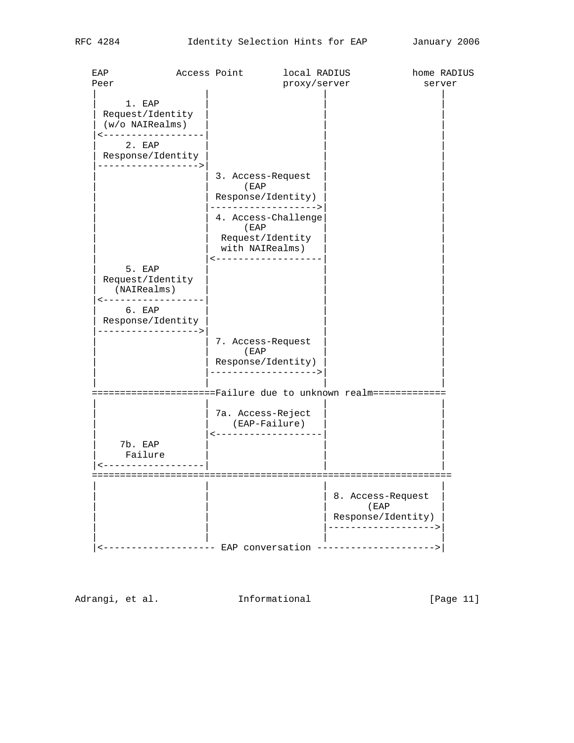| EAP<br>Peer                                                                    | Access Point |                                                   | local RADIUS<br>proxy/server         |                                                                        | home RADIUS<br>server |
|--------------------------------------------------------------------------------|--------------|---------------------------------------------------|--------------------------------------|------------------------------------------------------------------------|-----------------------|
| 1. EAP<br>Request/Identity<br>$(w/\circ$ NAIRealms)<br>-------------<br>2. EAP |              |                                                   |                                      |                                                                        |                       |
| Response/Identity<br>----------------->                                        |              |                                                   |                                      |                                                                        |                       |
|                                                                                |              | 3. Access-Request<br>(EAP<br>Response/Identity)   | ------------------>                  |                                                                        |                       |
|                                                                                |              | (EAP<br>Request/Identity<br>with NAIRealms)       | 4. Access-Challenge                  |                                                                        |                       |
| 5. EAP<br>Request/Identity<br>(NAIRealms)<br>------------------                |              | -------------------                               |                                      |                                                                        |                       |
| 6. EAP<br>Response/Identity<br>---------------->                               |              |                                                   |                                      |                                                                        |                       |
|                                                                                |              | 7. Access-Request<br>( EAP)<br>Response/Identity) | -------------------->                |                                                                        |                       |
| =====================Failure due to unknown realm=============                 |              |                                                   |                                      |                                                                        |                       |
|                                                                                |              | 7a. Access-Reject                                 | (EAP-Failure)<br>------------------- |                                                                        |                       |
| 7b. EAP<br>Failure<br>----------------                                         |              |                                                   |                                      |                                                                        |                       |
|                                                                                |              |                                                   |                                      | 8. Access-Request<br>(EAP<br>Response/Identity)<br>------------------> |                       |
|                                                                                |              |                                                   |                                      | ------------------- EAP conversation --------------------->            |                       |

Adrangi, et al. 10 Informational 1999 [Page 11]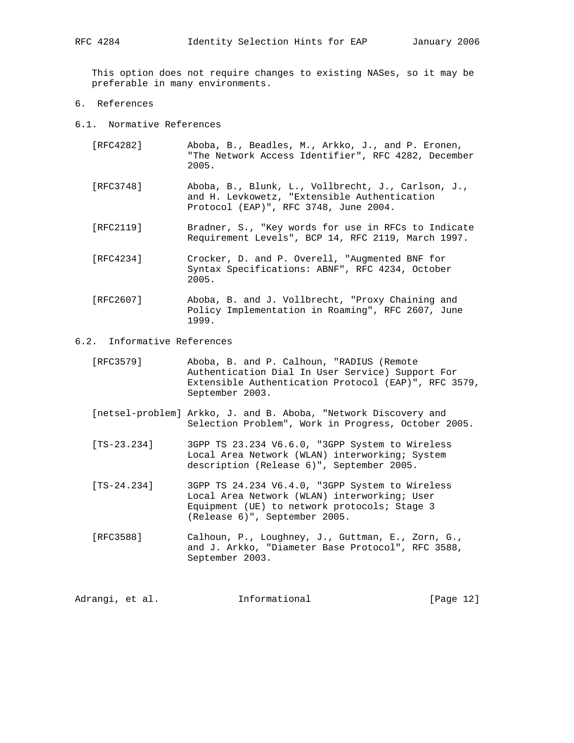This option does not require changes to existing NASes, so it may be preferable in many environments.

- 6. References
- 6.1. Normative References
	- [RFC4282] Aboba, B., Beadles, M., Arkko, J., and P. Eronen, "The Network Access Identifier", RFC 4282, December 2005.
	- [RFC3748] Aboba, B., Blunk, L., Vollbrecht, J., Carlson, J., and H. Levkowetz, "Extensible Authentication Protocol (EAP)", RFC 3748, June 2004.
	- [RFC2119] Bradner, S., "Key words for use in RFCs to Indicate Requirement Levels", BCP 14, RFC 2119, March 1997.
	- [RFC4234] Crocker, D. and P. Overell, "Augmented BNF for Syntax Specifications: ABNF", RFC 4234, October 2005.
	- [RFC2607] Aboba, B. and J. Vollbrecht, "Proxy Chaining and Policy Implementation in Roaming", RFC 2607, June 1999.
- 6.2. Informative References
	- [RFC3579] Aboba, B. and P. Calhoun, "RADIUS (Remote Authentication Dial In User Service) Support For Extensible Authentication Protocol (EAP)", RFC 3579, September 2003.
	- [netsel-problem] Arkko, J. and B. Aboba, "Network Discovery and Selection Problem", Work in Progress, October 2005.
	- [TS-23.234] 3GPP TS 23.234 V6.6.0, "3GPP System to Wireless Local Area Network (WLAN) interworking; System description (Release 6)", September 2005.
	- [TS-24.234] 3GPP TS 24.234 V6.4.0, "3GPP System to Wireless Local Area Network (WLAN) interworking; User Equipment (UE) to network protocols; Stage 3 (Release 6)", September 2005.
	- [RFC3588] Calhoun, P., Loughney, J., Guttman, E., Zorn, G., and J. Arkko, "Diameter Base Protocol", RFC 3588, September 2003.

Adrangi, et al. **Informational** [Page 12]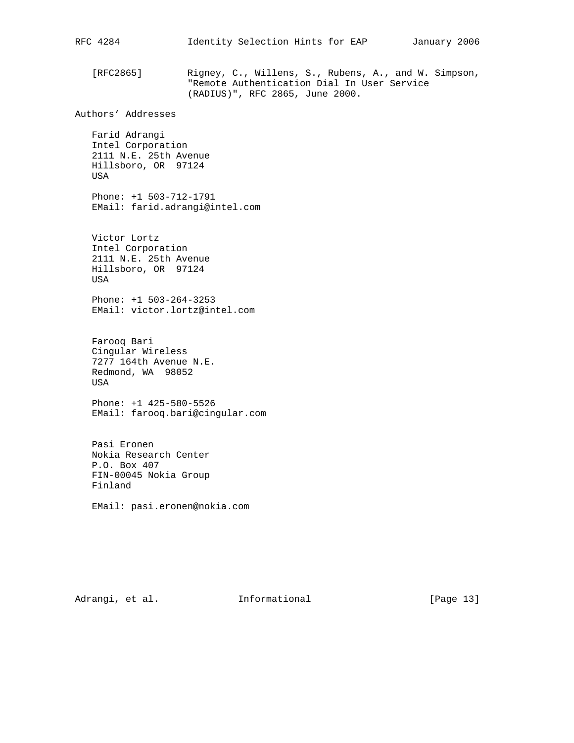[RFC2865] Rigney, C., Willens, S., Rubens, A., and W. Simpson, "Remote Authentication Dial In User Service (RADIUS)", RFC 2865, June 2000. Authors' Addresses Farid Adrangi Intel Corporation 2111 N.E. 25th Avenue Hillsboro, OR 97124 USA Phone: +1 503-712-1791 EMail: farid.adrangi@intel.com Victor Lortz Intel Corporation 2111 N.E. 25th Avenue Hillsboro, OR 97124 USA Phone: +1 503-264-3253 EMail: victor.lortz@intel.com Farooq Bari Cingular Wireless 7277 164th Avenue N.E. Redmond, WA 98052 USA Phone: +1 425-580-5526 EMail: farooq.bari@cingular.com Pasi Eronen Nokia Research Center P.O. Box 407 FIN-00045 Nokia Group Finland EMail: pasi.eronen@nokia.com

RFC 4284 Identity Selection Hints for EAP January 2006

Adrangi, et al. 1nformational 1999 [Page 13]